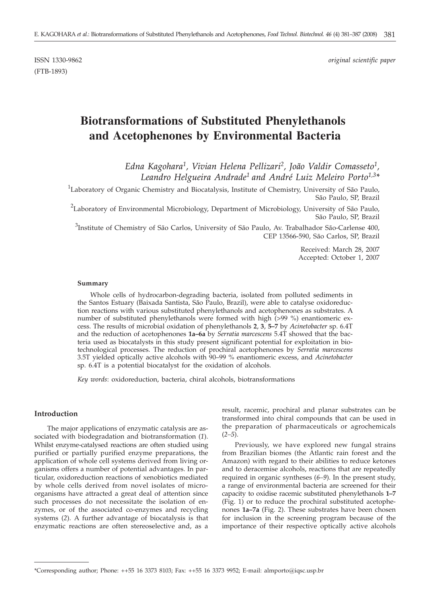(FTB-1893)

ISSN 1330-9862 *original scientific paper*

# **Biotransformations of Substituted Phenylethanols and Acetophenones by Environmental Bacteria**

*Edna Kagohara1, Vivian Helena Pellizari2, João Valdir Comasseto1, Leandro Helgueira Andrade1 and André Luiz Meleiro Porto1,3\**

<sup>1</sup>Laboratory of Organic Chemistry and Biocatalysis, Institute of Chemistry, University of São Paulo, São Paulo, SP, Brazil

 $^2$ Laboratory of Environmental Microbiology, Department of Microbiology, University of São Paulo, São Paulo, SP, Brazil

<sup>3</sup>Institute of Chemistry of São Carlos, University of São Paulo, Av. Trabalhador São-Carlense 400, CEP 13566-590, São Carlos, SP, Brazil

> Received: March 28, 2007 Accepted: October 1, 2007

#### **Summary**

Whole cells of hydrocarbon-degrading bacteria, isolated from polluted sediments in the Santos Estuary (Baixada Santista, São Paulo, Brazil), were able to catalyse oxidoreduction reactions with various substituted phenylethanols and acetophenones as substrates. A number of substituted phenylethanols were formed with high (>99 %) enantiomeric excess. The results of microbial oxidation of phenylethanols **2**, **3**, **5–7** by *Acinetobacter* sp. 6.4T and the reduction of acetophenones **1a–6a** by *Serratia marcescens* 5.4T showed that the bacteria used as biocatalysts in this study present significant potential for exploitation in biotechnological processes. The reduction of prochiral acetophenones by *Serratia marcescens* 3.5T yielded optically active alcohols with 90–99 % enantiomeric excess, and *Acinetobacter* sp. 6.4T is a potential biocatalyst for the oxidation of alcohols.

*Key words*: oxidoreduction, bacteria, chiral alcohols, biotransformations

### **Introduction**

The major applications of enzymatic catalysis are associated with biodegradation and biotransformation (*1*). Whilst enzyme-catalysed reactions are often studied using purified or partially purified enzyme preparations, the application of whole cell systems derived from living organisms offers a number of potential advantages. In particular, oxidoreduction reactions of xenobiotics mediated by whole cells derived from novel isolates of microorganisms have attracted a great deal of attention since such processes do not necessitate the isolation of enzymes, or of the associated co-enzymes and recycling systems (*2*). A further advantage of biocatalysis is that enzymatic reactions are often stereoselective and, as a result, racemic, prochiral and planar substrates can be transformed into chiral compounds that can be used in the preparation of pharmaceuticals or agrochemicals (*2–5*).

Previously, we have explored new fungal strains from Brazilian biomes (the Atlantic rain forest and the Amazon) with regard to their abilities to reduce ketones and to deracemise alcohols, reactions that are repeatedly required in organic syntheses (*6–9*). In the present study, a range of environmental bacteria are screened for their capacity to oxidise racemic substituted phenylethanols **1–7** (Fig. 1) or to reduce the prochiral substituted acetophenones **1a–7a** (Fig. 2). These substrates have been chosen for inclusion in the screening program because of the importance of their respective optically active alcohols

<sup>\*</sup>Corresponding author; Phone: ++55 16 3373 8103; Fax: ++55 16 3373 9952; E-mail: almporto@iqsc.usp.br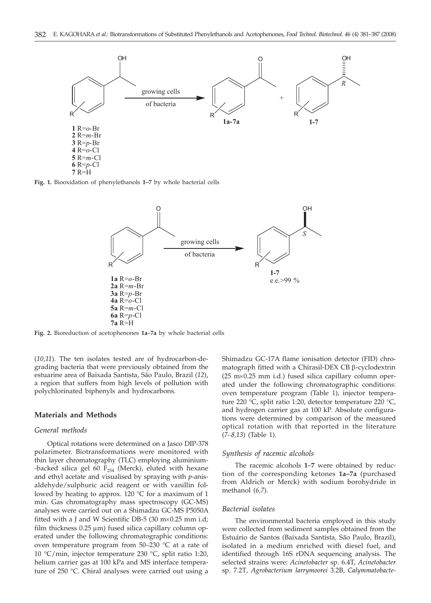

**Fig. 1.** Biooxidation of phenylethanols **1–7** by whole bacterial cells



**Fig. 2.** Bioreduction of acetophenones **1a**–**7a** by whole bacterial cells

(*10,11*). The ten isolates tested are of hydrocarbon-degrading bacteria that were previously obtained from the estuarine area of Baixada Santista, São Paulo, Brazil (*12*), a region that suffers from high levels of pollution with polychlorinated biphenyls and hydrocarbons.

## **Materials and Methods**

#### *General methods*

Optical rotations were determined on a Jasco DIP-378 polarimeter. Biotransformations were monitored with thin layer chromatography (TLC) employing aluminium- -backed silica gel 60  $F_{254}$  (Merck), eluted with hexane and ethyl acetate and visualised by spraying with *p*-anisaldehyde/sulphuric acid reagent or with vanillin followed by heating to approx. 120 °C for a maximum of 1 min. Gas chromatography mass spectroscopy (GC-MS) analyses were carried out on a Shimadzu GC-MS P5050A fitted with a J and W Scientific DB-5 (30  $m \times 0.25$  mm i.d; film thickness  $0.25 \mu m$ ) fused silica capillary column operated under the following chromatographic conditions: oven temperature program from 50–230 °C at a rate of 10 °C/min, injector temperature 230 °C, split ratio 1:20, helium carrier gas at 100 kPa and MS interface temperature of 250 °C. Chiral analyses were carried out using a

Shimadzu GC-17A flame ionisation detector (FID) chromatograph fitted with a Chirasil-DEX CB  $\beta$ -cyclodextrin  $(25 \text{ m} \times 0.25 \text{ mm } i.d.)$  fused silica capillary column operated under the following chromatographic conditions: oven temperature program (Table 1), injector temperature 220 °C, split ratio 1:20, detector temperature 220 °C, and hydrogen carrier gas at 100 kP. Absolute configurations were determined by comparison of the measured optical rotation with that reported in the literature (*7–8,13*) (Table 1).

#### *Synthesis of racemic alcohols*

The racemic alcohols **1**–**7** were obtained by reduction of the corresponding ketones **1a–7a** (purchased from Aldrich or Merck) with sodium borohydride in methanol (*6,7*).

#### *Bacterial isolates*

The environmental bacteria employed in this study were collected from sediment samples obtained from the Estuário de Santos (Baixada Santista, São Paulo, Brazil), isolated in a medium enriched with diesel fuel, and identified through 16S rDNA sequencing analysis. The selected strains were: *Acinetobacter* sp. 6.4T, *Acinetobacter* sp. 7.2T*, Agrobacterium larrymoorei* 3.2B, *Calymmatobacte-*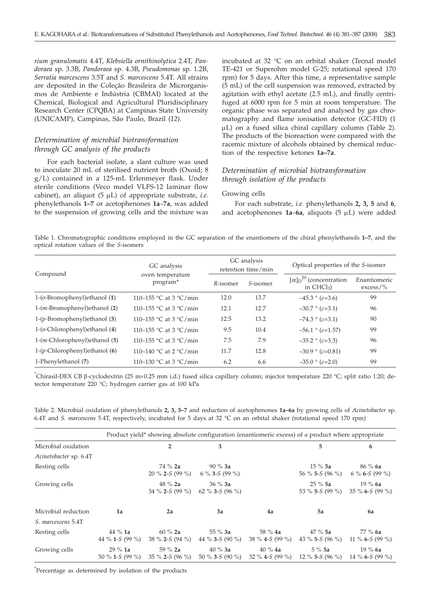*rium granulomatis* 4.4T, *Klebsiella ornithinolytica* 2.4T, *Pandoraea* sp. 3.3B, *Pandoraea* sp. 4.3B, *Pseudomonas* sp. 1.2B, *Serratia marcescens* 3.5T and *S. marcescens* 5.4T. All strains are deposited in the Coleção Brasileira de Microrganismos de Ambiente e Indústria (CBMAI) located at the Chemical, Biological and Agricultural Pluridisciplinary Research Center (CPQBA) at Campinas State University (UNICAMP), Campinas, São Paulo, Brazil (*12*).

# *Determination of microbial biotransformation through GC analysis of the products*

For each bacterial isolate, a slant culture was used to inoculate 20 mL of sterilised nutrient broth (Oxoid; 8 g/L) contained in a 125-mL Erlenmeyer flask. Under sterile conditions (Veco model VLFS-12 laminar flow cabinet), an aliquot (5 µL) of appropriate substrate, *i.e.* phenylethanols **1–7** or acetophenones **1a**–**7a**, was added to the suspension of growing cells and the mixture was incubated at 32 °C on an orbital shaker (Tecnal model TE-421 or Superohm model G-25; rotational speed 170 rpm) for 5 days. After this time, a representative sample (5 mL) of the cell suspension was removed, extracted by agitation with ethyl acetate (2.5 mL), and finally centrifuged at 6000 rpm for 5 min at room temperature. The organic phase was separated and analysed by gas chromatography and flame ionisation detector (GC-FID) (1  $\mu$ L) on a fused silica chiral capillary column (Table 2). The products of the bioreaction were compared with the racemic mixture of alcohols obtained by chemical reduction of the respective ketones **1a–7a**.

# *Determination of microbial biotransformation through isolation of the products*

#### Growing cells

For each substrate, *i.e.* phenylethanols **2, 3, 5** and **6**, and acetophenones  $1a-6a$ , aliquots  $(5 \mu L)$  were added

Table 1. Chromatographic conditions employed in the GC separation of the enantiomers of the chiral phenylethanols **1–7**, and the optical rotation values of the *S*-isomers

|                                     | GC analysis                              |          | GC analysis<br>retention time/min | Optical properties of the S-isomer                            |                             |  |
|-------------------------------------|------------------------------------------|----------|-----------------------------------|---------------------------------------------------------------|-----------------------------|--|
| Compound                            | oven temperature<br>program <sup>*</sup> | R-isomer | S-isomer                          | $\left[\alpha\right]_{D}^{20}$ (concentration<br>in $CHCl3$ ) | Enantiomeric<br>$excess/\%$ |  |
| $1-(o-Bromophenyl)$ ethanol $(1)$   | 110–155 °C at 3 °C/min                   | 12.0     | 13.7                              | $-45.3 \degree (c=3.6)$                                       | 99                          |  |
| $1-(m-Bromophenyl)$ ethanol (2)     | 110-155 °C at 3 °C/min                   | 12.1     | 12.7                              | $-30.7 \degree$ (c=3.1)                                       | 96                          |  |
| $1-(p-Bromophenyl)$ ethanol (3)     | 110-155 °C at 3 °C/min                   | 12.5     | 13.2                              | $-74.3 \degree (c=3.1)$                                       | 90                          |  |
| $1-(o$ -Chlorophenyl) ethanol $(4)$ | 110-155 °C at 3 °C/min                   | 9.5      | 10.4                              | $-56.1 \degree$ (c=1.57)                                      | 99                          |  |
| $1-(m-Chlorophenyl)$ ethanol (5)    | 110-155 °C at 3 °C/min                   | 7.5      | 7.9                               | $-35.2 \degree (c=3.3)$                                       | 96                          |  |
| $1-(p$ -Chlorophenyl) ethanol (6)   | 110-140 °C at 2 °C/min                   | 11.7     | 12.8                              | $-30.9 \degree$ (c=0.81)                                      | 99                          |  |
| 1-Phenylethanol (7)                 | 110–130 °C at 3 °C/min                   | 6.2      | 6.6                               | $-35.0$ ° (c=2.0)                                             | 99                          |  |

<sup>\*</sup>Chirasil-DEX CB β-cyclodextrin (25 m×0.25 mm i.d.) fused silica capillary column; injector temperature 220 °C; split ratio 1:20; detector temperature 220 °C; split ratio 1:20; detector temperature 220 °C; hydrogen carr tector temperature 220 °C; hydrogen carrier gas at 100 kPa

Table 2. Microbial oxidation of phenylethanols **2, 3, 5–7** and reduction of acetophenones **1a–6a** by growing cells of *Acinetobacter* sp. 6.4T and *S. marcescens* 5.4T, respectively, incubated for 5 days at 32 °C on an orbital shaker (rotational speed 170 rpm)

|                        |                                      | Product yield* showing absolute configuration (enantiomeric excess) of a product where appropriate |                               |                              |                               |                                |
|------------------------|--------------------------------------|----------------------------------------------------------------------------------------------------|-------------------------------|------------------------------|-------------------------------|--------------------------------|
| Microbial oxidation    |                                      | 2                                                                                                  | 3                             |                              | 5                             | 6                              |
| Acinetobacter sp. 6.4T |                                      |                                                                                                    |                               |                              |                               |                                |
| Resting cells          |                                      | $74\%$ 2a<br>20 % 2-S (99 %)                                                                       | $90\%$ 3a<br>6 % 3-S (99 %)   |                              | $15\%5a$<br>56 % 5-S (96 %)   | $86\%$ 6a<br>6 % 6-S (99 %)    |
| Growing cells          |                                      | $48 \% 2a$<br>34 % 2-S (99 %)                                                                      | $36 \%$ 3a<br>62 % 3-S (96 %) |                              | $25\%5a$<br>53 % 5-S (99 %)   | $19\%$ 6a<br>$35\%$ 6-S (99 %) |
| Microbial reduction    | 1a                                   | 2a                                                                                                 | 3a                            | 4a                           | 5a                            | 6a                             |
| S. marcescens 5.4T     |                                      |                                                                                                    |                               |                              |                               |                                |
| Resting cells          | $44\%$ 1a<br>44 % 1- <i>S</i> (99 %) | 60 $%$ 2a<br>38 % 2-S (94 %)                                                                       | 55 $%$ 3a<br>44 % 3-S (90 %)  | 58 $%$ 4a<br>38 % 4-S (99 %) | $47 \%$ 5a<br>43 % 5-S (96 %) | $77\%$ 6a<br>11 % 6-S (99 %)   |
| Growing cells          | $29\%$ 1a<br>50 % 1-S (99 %)         | 59 $%$ 2a<br>$35\%$ 2-S (96 %)                                                                     | 40 % $3a$<br>50 % 3-S (90 %)  | $40\%$ 4a<br>32 % 4-S (99 %) | $5\%5a$<br>12 % 5-S $(96 \%)$ | $19\%$ 6a<br>14 % 6-S (99 %)   |

\* Percentage as determined by isolation of the products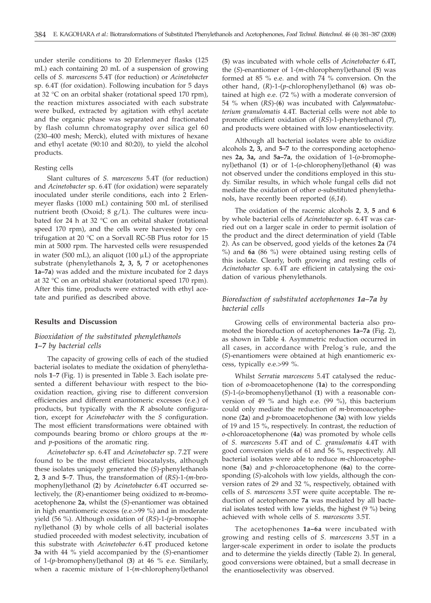under sterile conditions to 20 Erlenmeyer flasks (125 mL) each containing 20 mL of a suspension of growing cells of *S. marcescens* 5.4T (for reduction) or *Acinetobacter* sp. 6.4T (for oxidation). Following incubation for 5 days at 32 °C on an orbital shaker (rotational speed 170 rpm), the reaction mixtures associated with each substrate were bulked, extracted by agitation with ethyl acetate and the organic phase was separated and fractionated by flash column chromatography over silica gel 60 (230–400 mesh; Merck), eluted with mixtures of hexane and ethyl acetate (90:10 and 80:20), to yield the alcohol products.

#### Resting cells

Slant cultures of *S. marcescens* 5.4T (for reduction) and *Acinetobacter* sp. 6.4T (for oxidation) were separately inoculated under sterile conditions, each into 2 Erlenmeyer flasks (1000 mL) containing 500 mL of sterilised nutrient broth (Oxoid; 8 g/L). The cultures were incubated for 24 h at 32 °C on an orbital shaker (rotational speed 170 rpm), and the cells were harvested by centrifugation at 20 °C on a Sorvall RC-5B Plus rotor for 15 min at 5000 rpm. The harvested cells were resuspended in water (500 mL), an aliquot (100  $\mu$ L) of the appropriate substrate (phenylethanols **2, 3, 5, 7** or acetophenones **1a–7a**) was added and the mixture incubated for 2 days at 32 °C on an orbital shaker (rotational speed 170 rpm). After this time, products were extracted with ethyl acetate and purified as described above.

## **Results and Discussion**

# *Biooxidation of the substituted phenylethanols 1–7 by bacterial cells*

The capacity of growing cells of each of the studied bacterial isolates to mediate the oxidation of phenylethanols **1**–**7** (Fig. 1) is presented in Table 3. Each isolate presented a different behaviour with respect to the biooxidation reaction, giving rise to different conversion efficiencies and different enantiomeric excesses (e.e.) of products, but typically with the *R* absolute configuration, except for *Acinetobacter* with the *S* configuration. The most efficient transformations were obtained with compounds bearing bromo or chloro groups at the *m*and *p*-positions of the aromatic ring.

*Acinetobacter* sp. 6.4T and *Acinetobacter* sp. 7.2T were found to be the most efficient biocatalysts, although these isolates uniquely generated the (*S*)-phenylethanols **2**, **3** and **5**–**7**. Thus, the transformation of (*RS*)-1-(*m*-bromophenyl)ethanol (**2**) by *Acinetobacter* 6.4T occurred selectively, the (*R*)-enantiomer being oxidized to *m*-bromoacetophenone **2a**, whilst the (*S*)-enantiomer was obtained in high enantiomeric excess (e.e.>99 %) and in moderate yield (56 %). Although oxidation of (*RS*)-1-(*p*-bromophenyl)ethanol (**3**) by whole cells of all bacterial isolates studied proceeded with modest selectivity, incubation of this substrate with *Acinetobacter* 6.4T produced ketone **3a** with 44 % yield accompanied by the (*S*)-enantiomer of 1-(*p-*bromophenyl)ethanol (**3**) at 46 % e.e. Similarly, when a racemic mixture of 1-(*m*-chlorophenyl)ethanol

(**5**) was incubated with whole cells of *Acinetobacter* 6.4T, the (*S*)-enantiomer of 1-(*m*-chlorophenyl)ethanol (**5**) was formed at 85 % e.e. and with 74 % conversion. On the other hand, (*R*)-1-(*p*-chlorophenyl)ethanol (**6**) was obtained at high e.e. (72 %) with a moderate conversion of 54 % when (*RS*)-(**6**) was incubated with *Calymmatobacterium granulomatis* 4.4T. Bacterial cells were not able to promote efficient oxidation of (*RS*)-1-phenylethanol (**7**), and products were obtained with low enantioselectivity.

Although all bacterial isolates were able to oxidize alcohols **2, 3,** and **5–7** to the corresponding acetophenones **2a, 3a,** and **5a–7a**, the oxidation of 1-(*o*-bromophenyl)ethanol (**1**) or of 1-(*o*-chlorophenyl)ethanol (**4**) was not observed under the conditions employed in this study. Similar results, in which whole fungal cells did not mediate the oxidation of other *o*-substituted phenylethanols, have recently been reported (*6,14*).

The oxidation of the racemic alcohols **2**, **3**, **5** and **6** by whole bacterial cells of *Acinetobacter* sp. 6.4T was carried out on a larger scale in order to permit isolation of the product and the direct determination of yield (Table 2). As can be observed, good yields of the ketones **2a** (74 %) and **6a** (86 %) were obtained using resting cells of this isolate. Clearly, both growing and resting cells of *Acinetobacter* sp. 6.4T are efficient in catalysing the oxidation of various phenylethanols.

# *Bioreduction of substituted acetophenones 1a–7a by bacterial cells*

Growing cells of environmental bacteria also promoted the bioreduction of acetophenones **1a–7a** (Fig. 2), as shown in Table 4. Asymmetric reduction occurred in all cases, in accordance with Prelog´s rule, and the (*S*)-enantiomers were obtained at high enantiomeric excess, typically e.e.>99 %.

Whilst *Serratia marcescens* 5.4T catalysed the reduction of *o*-bromoacetophenone (**1a**) to the corresponding (*S*)-1-(*o*-bromophenyl)ethanol (**1**) with a reasonable conversion of  $49^{\degree}\%$  and high e.e. (99 %), this bacterium could only mediate the reduction of *m*-bromoacetophenone (**2a**) and *p*-bromoacetophenone (**3a**) with low yields of 19 and 15 %, respectively. In contrast, the reduction of *o*-chloroacetophenone (**4a**) was promoted by whole cells of *S. marcescens* 5.4T and of *C. granulomatis* 4.4T with good conversion yields of 61 and 56 %, respectively. All bacterial isolates were able to reduce *m*-chloroacetophenone (**5a**) and *p-*chloroacetophenone (**6a**) to the corresponding (*S*)-alcohols with low yields, although the conversion rates of 29 and 32 %, respectively, obtained with cells of *S. marcescens* 3.5T were quite acceptable. The reduction of acetophenone **7a** was mediated by all bacterial isolates tested with low yields, the highest (9 %) being achieved with whole cells of *S. marcescens* 3.5T.

The acetophenones **1a–6a** were incubated with growing and resting cells of *S. marcescens* 3.5T in a larger-scale experiment in order to isolate the products and to determine the yields directly (Table 2). In general, good conversions were obtained, but a small decrease in the enantioselectivity was observed.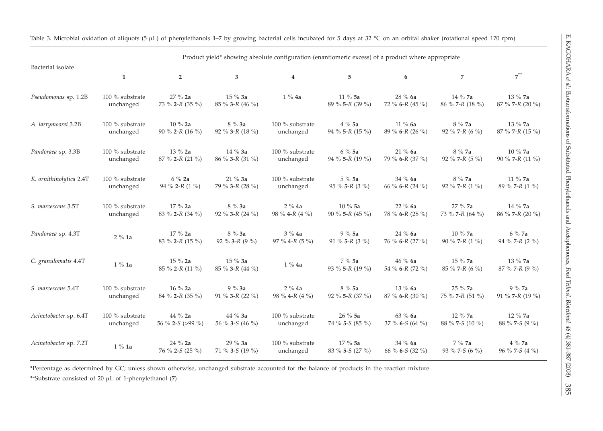| Bacterial isolate       | Product yield* showing absolute configuration (enantiomeric excess) of a product where appropriate |                               |                             |                              |                             |                            |                            |                             |  |
|-------------------------|----------------------------------------------------------------------------------------------------|-------------------------------|-----------------------------|------------------------------|-----------------------------|----------------------------|----------------------------|-----------------------------|--|
|                         | $\mathbf{1}$                                                                                       | $\overline{2}$                | 3                           | $\overline{4}$               | 5                           | 6                          | $\overline{7}$             | $7^{**}$                    |  |
| Pseudomonas sp. 1.2B    | 100 % substrate<br>unchanged                                                                       | 27 % 2a<br>73 % 2-R (35 %)    | $15\%3a$<br>85 % 3-R (46 %) | $1\%4a$                      | $11\%5a$<br>89 % 5-R (39 %) | 28 % 6a<br>72 % 6-R (45 %) | 14 % 7a<br>86 % 7-R (18 %) | 13 % 7a<br>87 % 7-R (20 %)  |  |
| A. larrymoorei 3.2B     | 100 % substrate                                                                                    | $10\%$ 2a                     | 8 % 3a                      | 100 % substrate              | $4\%5a$                     | 11 % 6a                    | 8 % 7a                     | 13 % 7a                     |  |
|                         | unchanged                                                                                          | 90 % 2-R (16 %)               | 92 % 3-R (18 %)             | unchanged                    | 94 % 5-R (15 %)             | 89 % 6-R (26 %)            | 92 % 7-R (6 %)             | 87 % 7-R (15 %)             |  |
| Pandoraea sp. 3.3B      | 100 % substrate                                                                                    | 13 % 2a                       | $14\%3a$                    | 100 % substrate              | $6\%5a$                     | 21%6a                      | 8 % 7a                     | 10 % 7a                     |  |
|                         | unchanged                                                                                          | 87 % 2-R (21 %)               | 86 % 3-R (31 %)             | unchanged                    | 94 % 5-R (19 %)             | 79 % 6-R (37 %)            | 92 % 7-R $(5 \%)$          | 90 % 7-R (11 %)             |  |
| K. ornithinolytica 2.4T | 100 % substrate                                                                                    | $6\%$ 2a                      | 21 % 3a                     | 100 % substrate              | 5%5a                        | 34 % 6a                    | 8 % 7a                     | 11 % 7a                     |  |
|                         | unchanged                                                                                          | 94 % 2-R $(1 \%)$             | 79 % 3-R (28 %)             | unchanged                    | 95 % 5-R (3 %)              | 66 % 6-R (24 %)            | 92 % 7-R $(1 \%)$          | 89 % 7-R (1 %)              |  |
| S. marcescens 3.5T      | 100 % substrate                                                                                    | 17 % 2a                       | 8 % 3a                      | 2%4a                         | 10 % 5a                     | 22 % 6a                    | 27 % 7a                    | 14 % 7a                     |  |
|                         | unchanged                                                                                          | 83 % 2-R (34 %)               | 92 % 3-R (24 %)             | 98 % 4-R $(4 \%)$            | 90 % 5-R (45 %)             | 78 % 6-R (28 %)            | 73 % 7-R (64 %)            | $86 \%$ 7-R (20 %)          |  |
| Pandoraea sp. 4.3T      | 2%1a                                                                                               | $17%$ 2a<br>83 % 2-R (15 %)   | $8\%3a$<br>92 % 3-R (9 %)   | 3%4a<br>97 % 4-R $(5 \%)$    | 9%5a<br>91 % 5-R $(3 \%)$   | 24 % 6a<br>76 % 6-R (27 %) | 10 % 7a<br>90 % 7-R $(1\%$ | $6\%$ 7a<br>94 % 7-R (2 %)  |  |
| C. granulomatis 4.4T    | $1\%$ 1a                                                                                           | $15 \%$ 2a<br>85 % 2-R (11 %) | $15\%3a$<br>85 % 3-R (44 %) | $1\%$ 4a                     | 7%5a<br>93 % 5-R (19 %)     | 46%6a<br>54 % 6-R (72 %)   | 15 % 7a<br>85 % 7-R (6 %)  | $13\%$ 7a<br>87 % 7-R (9 %) |  |
| S. marcescens 5.4T      | 100 % substrate                                                                                    | 16 % 2a                       | $9\%3a$                     | 2%4a                         | 8 % 5a                      | 13 % 6a                    | 25 % 7a                    | 9 % 7a                      |  |
|                         | unchanged                                                                                          | 84 % 2-R (35 %)               | 91 % 3-R (22 %)             | 98 % 4-R $(4\%$              | 92 % 5-R (37 %)             | 87 % 6-R (30 %)            | 75 % 7-R (51 %)            | 91 % 7-R (19 %)             |  |
| Acinetobacter sp. 6.4T  | $100\ \%$ substrate                                                                                | 44 % 2a                       | 44 % 3a                     | 100 % substrate              | 26%5a                       | 63 % 6a                    | 12 % 7a                    | 12 % 7a                     |  |
|                         | unchanged                                                                                          | 56 % 2-S (>99 %)              | 56 % 3-5 (46 %)             | unchanged                    | 74 % 5-S (85 %)             | 37 % 6-S (64 %)            | 88 % 7-S (10 %)            | 88 % 7-5 (9 %)              |  |
| Acinetobacter sp. 7.2T  | $1\%$ 1a                                                                                           | 24 % 2a<br>76 % 2-S (25 %)    | 29 % 3a<br>71 % 3-S (19 %)  | 100 % substrate<br>unchanged | 17 % 5a<br>83 % 5-S (27 %)  | 34 % 6a<br>66 % 6-S (32 %) | 7%7a<br>93 % 7-S (6 %)     | $4\%$ 7a<br>96 % 7-S (4 %)  |  |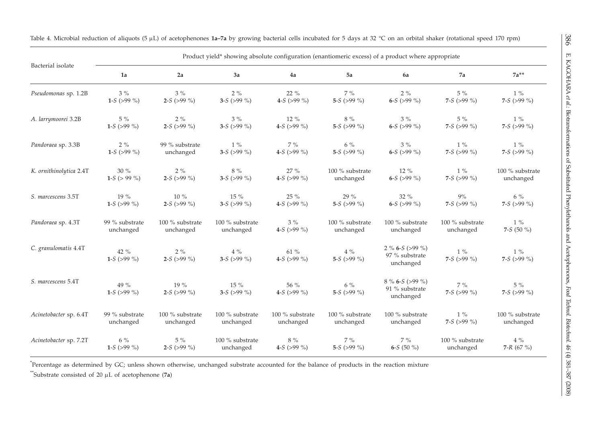| Bacterial isolate       | 1a                    | 2a                    | 3a                          | 4a                     | 5a                       | 6a                                               | 7a                    | $7a***$                |
|-------------------------|-----------------------|-----------------------|-----------------------------|------------------------|--------------------------|--------------------------------------------------|-----------------------|------------------------|
| Pseudomonas sp. 1.2B    | $3\%$                 | $3\%$                 | $2\%$                       | $22\%$                 | $7\%$                    | $2\%$                                            | $5\%$                 | $1\%$                  |
|                         | 1-S (>99 %)           | 2-S (>99 %)           | 3-S (>99 %)                 | 4-S (>99 %)            | 5-S (>99 %)              | 6-S (>99 %)                                      | 7-S (>99 %)           | 7-S (>99 %)            |
| A. larrymoorei 3.2B     | $5~\%$                | $2\%$                 | $3\%$                       | $12\%$                 | $8~\%$                   | $3\%$                                            | $5\%$                 | $1\%$                  |
|                         | 1-S (>99 %)           | 2-S (>99 %)           | 3-S ( $>99\%$ )             | 4-S (>99 %)            | 5-S ( $>99\%$ )          | 6-S (>99 %)                                      | 7-S (>99 %)           | 7-S ( $>99\%$ )        |
| Pandoraea sp. 3.3B      | $2\%$                 | 99 % substrate        | $1\%$                       | $7~\%$                 | $6\%$                    | $3\%$                                            | $1\%$                 | $1\%$                  |
|                         | 1-S (>99 %)           | unchanged             | 3-S ( $>99\%$ )             | 4-S (>99 %)            | 5-S (>99 %)              | 6-S (>99 %)                                      | 7-S (>99 %)           | 7-S ( $>99\%$ )        |
| K. ornithinolytica 2.4T | $30\%$                | $2\%$                 | $8~\%$                      | 27 %                   | 100 % substrate          | $12\%$                                           | $1\%$                 | 100 % substrate        |
|                         | 1-S ( $> 99\%$ )      | 2-S (>99 %)           | 3-S ( $>99\%$ )             | 4-S (>99 %)            | unchanged                | 6-S (>99 %)                                      | 7-S (>99 %)           | unchanged              |
| S. marcescens 3.5T      | 19 %                  | $10\%$                | $15\%$                      | $25\%$                 | 29 %                     | $32\%$                                           | 9%                    | $6\%$                  |
|                         | 1-S (>99 %)           | 2-S (>99 %)           | 3-S (>99 %)                 | 4-S (>99 %)            | 5-S (>99 %)              | 6-S (>99 %)                                      | 7-S (>99 %)           | 7-S ( $>99\%$ )        |
| Pandoraea sp. 4.3T      | 99 % substrate        | 100 % substrate       | 100 % substrate             | $3\%$                  | 100 % substrate          | 100 % substrate                                  | 100 % substrate       | $1\%$                  |
|                         | unchanged             | unchanged             | unchanged                   | 4-S ( $>99\%$ )        | unchanged                | unchanged                                        | unchanged             | 7-S $(50\% )$          |
| C. granulomatis 4.4T    | 42 $%$<br>1-S (>99 %) | $2\%$<br>2-S (>99 %)  | $4\%$<br>3-S ( $>99\%$ )    | $61~\%$<br>4-S (>99 %) | $4~\%$<br>5-S (>99 %)    | 2 % 6-S (>99 %)<br>$97$ % substrate<br>unchanged | $1\%$<br>7-S (>99 %)  | $1\%$<br>7-S (>99 %)   |
| S. marcescens 5.4T      | 49 %<br>1-S (>99 %)   | $19\%$<br>2-S (>99 %) | $15\ \%$<br>3-S ( $>99\%$ ) | 56 %<br>4-S (>99 %)    | $6\%$<br>5-S ( $>99\%$ ) | $8\%$ 6-S (>99 %)<br>91 % substrate<br>unchanged | $7~\%$<br>7-S (>99 %) | $5\ \%$<br>7-S (>99 %) |
| Acinetobacter sp. 6.4T  | 99 % substrate        | 100 % substrate       | 100 % substrate             | 100 % substrate        | $100$ % substrate        | $100$ % substrate                                | $1\%$                 | $100$ % substrate      |
|                         | unchanged             | unchanged             | unchanged                   | unchanged              | unchanged                | unchanged                                        | 7-S (>99 %)           | unchanged              |
| Acinetobacter sp. 7.2T  | $6\%$                 | $5\%$                 | 100 % substrate             | $8~\%$                 | $7\%$                    | $7\%$                                            | 100 % substrate       | $4~\%$                 |
|                         | 1-S (>99 %)           | 2-S (>99 %)           | unchanged                   | 4-S (>99 %)            | 5-S ( $>99\%$ )          | 6-S (50 %)                                       | unchanged             | 7-R (67 %)             |